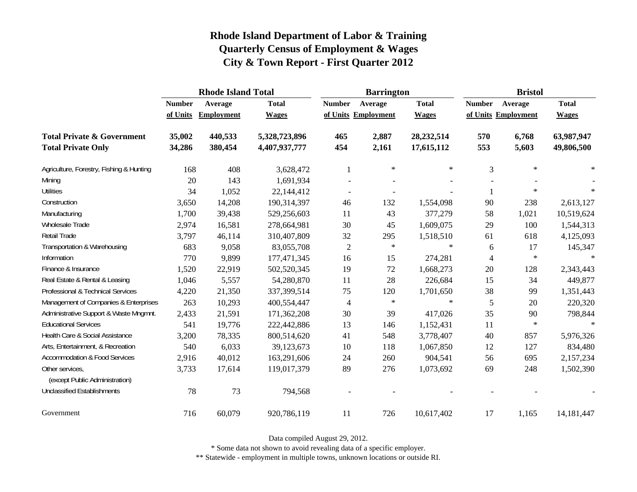|                                                   |               | <b>Rhode Island Total</b> |               |                     | <b>Barrington</b> |              | <b>Bristol</b> |                     |              |  |
|---------------------------------------------------|---------------|---------------------------|---------------|---------------------|-------------------|--------------|----------------|---------------------|--------------|--|
|                                                   | <b>Number</b> | Average                   | <b>Total</b>  | <b>Number</b>       | Average           | <b>Total</b> | <b>Number</b>  | Average             | <b>Total</b> |  |
|                                                   | of Units      | <b>Employment</b>         | <b>Wages</b>  | of Units Employment |                   | <b>Wages</b> |                | of Units Employment | <b>Wages</b> |  |
| <b>Total Private &amp; Government</b>             | 35,002        | 440,533                   | 5,328,723,896 | 465                 | 2,887             | 28,232,514   | 570            | 6,768               | 63,987,947   |  |
| <b>Total Private Only</b>                         | 34,286        | 380,454                   | 4,407,937,777 | 454                 | 2,161             | 17,615,112   | 553            | 5,603               | 49,806,500   |  |
| Agriculture, Forestry, Fishing & Hunting          | 168           | 408                       | 3,628,472     |                     | $\ast$            | $\ast$       | 3              | $\ast$              | ∗            |  |
| Mining                                            | 20            | 143                       | 1,691,934     |                     |                   |              |                |                     |              |  |
| <b>Utilities</b>                                  | 34            | 1,052                     | 22,144,412    |                     |                   |              |                | $\ast$              |              |  |
| Construction                                      | 3,650         | 14,208                    | 190,314,397   | 46                  | 132               | 1,554,098    | 90             | 238                 | 2,613,127    |  |
| Manufacturing                                     | 1,700         | 39,438                    | 529,256,603   | 11                  | 43                | 377,279      | 58             | 1,021               | 10,519,624   |  |
| Wholesale Trade                                   | 2,974         | 16,581                    | 278,664,981   | 30                  | 45                | 1,609,075    | 29             | 100                 | 1,544,313    |  |
| Retail Trade                                      | 3,797         | 46,114                    | 310,407,809   | 32                  | 295               | 1,518,510    | 61             | 618                 | 4,125,093    |  |
| Transportation & Warehousing                      | 683           | 9,058                     | 83,055,708    | $\overline{c}$      | $\ast$            | $\ast$       | 6              | 17                  | 145,347      |  |
| Information                                       | 770           | 9,899                     | 177,471,345   | 16                  | 15                | 274,281      | 4              | $\ast$              | $\ast$       |  |
| Finance & Insurance                               | 1,520         | 22,919                    | 502,520,345   | 19                  | 72                | 1,668,273    | 20             | 128                 | 2,343,443    |  |
| Real Estate & Rental & Leasing                    | 1,046         | 5,557                     | 54,280,870    | 11                  | 28                | 226,684      | 15             | 34                  | 449,877      |  |
| Professional & Technical Services                 | 4,220         | 21,350                    | 337,399,514   | 75                  | 120               | 1,701,650    | 38             | 99                  | 1,351,443    |  |
| Management of Companies & Enterprises             | 263           | 10,293                    | 400,554,447   | $\overline{4}$      | $\ast$            | $\ast$       | 5              | 20                  | 220,320      |  |
| Administrative Support & Waste Mngmnt.            | 2,433         | 21,591                    | 171,362,208   | 30                  | 39                | 417,026      | 35             | 90                  | 798,844      |  |
| <b>Educational Services</b>                       | 541           | 19,776                    | 222,442,886   | 13                  | 146               | 1,152,431    | 11             | $\ast$              | $\star$      |  |
| Health Care & Social Assistance                   | 3,200         | 78,335                    | 800,514,620   | 41                  | 548               | 3,778,407    | 40             | 857                 | 5,976,326    |  |
| Arts, Entertainment, & Recreation                 | 540           | 6,033                     | 39,123,673    | 10                  | 118               | 1,067,850    | 12             | 127                 | 834,480      |  |
| <b>Accommodation &amp; Food Services</b>          | 2,916         | 40,012                    | 163,291,606   | 24                  | 260               | 904,541      | 56             | 695                 | 2,157,234    |  |
| Other services,<br>(except Public Administration) | 3,733         | 17,614                    | 119,017,379   | 89                  | 276               | 1,073,692    | 69             | 248                 | 1,502,390    |  |
| <b>Unclassified Establishments</b>                | 78            | 73                        | 794,568       |                     |                   |              |                |                     |              |  |
| Government                                        | 716           | 60,079                    | 920,786,119   | 11                  | 726               | 10,617,402   | 17             | 1,165               | 14,181,447   |  |

Data compiled August 29, 2012.

\* Some data not shown to avoid revealing data of a specific employer.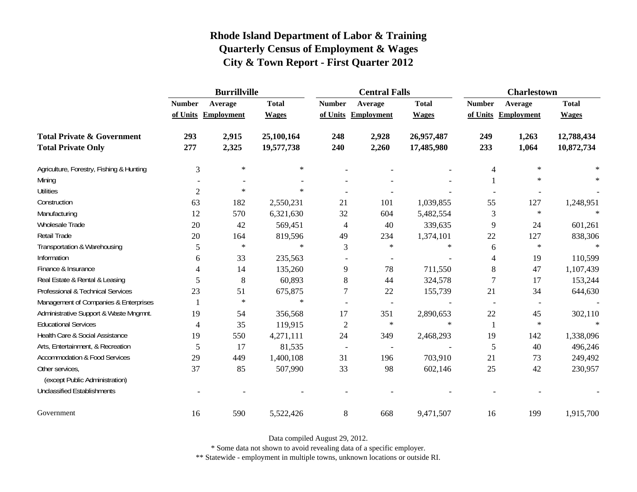|                                          | <b>Burrillville</b> |                     |              |                          | <b>Central Falls</b>     |              | <b>Charlestown</b>       |                          |              |
|------------------------------------------|---------------------|---------------------|--------------|--------------------------|--------------------------|--------------|--------------------------|--------------------------|--------------|
|                                          | <b>Number</b>       | Average             | <b>Total</b> | <b>Number</b>            | Average                  | <b>Total</b> | <b>Number</b>            | Average                  | <b>Total</b> |
|                                          |                     | of Units Employment | <b>Wages</b> |                          | of Units Employment      | <b>Wages</b> |                          | of Units Employment      | <b>Wages</b> |
| <b>Total Private &amp; Government</b>    | 293                 | 2,915               | 25,100,164   | 248                      | 2,928                    | 26,957,487   | 249                      | 1,263                    | 12,788,434   |
| <b>Total Private Only</b>                | 277                 | 2,325               | 19,577,738   | 240                      | 2,260                    | 17,485,980   | 233                      | 1,064                    | 10,872,734   |
| Agriculture, Forestry, Fishing & Hunting | 3                   | $\ast$              | $\ast$       |                          |                          |              | 4                        | $\ast$                   |              |
| Mining                                   |                     |                     |              |                          |                          |              |                          | $\ast$                   |              |
| <b>Utilities</b>                         | $\overline{2}$      | $\ast$              | $\ast$       |                          |                          |              |                          |                          |              |
| Construction                             | 63                  | 182                 | 2,550,231    | 21                       | 101                      | 1,039,855    | 55                       | 127                      | 1,248,951    |
| Manufacturing                            | 12                  | 570                 | 6,321,630    | 32                       | 604                      | 5,482,554    | 3                        | $\ast$                   |              |
| Wholesale Trade                          | 20                  | 42                  | 569,451      | $\overline{4}$           | 40                       | 339,635      | 9                        | 24                       | 601,261      |
| Retail Trade                             | 20                  | 164                 | 819,596      | 49                       | 234                      | 1,374,101    | 22                       | 127                      | 838,306      |
| Transportation & Warehousing             | 5                   | $\ast$              | $\ast$       | 3                        | $\ast$                   | $\ast$       | 6                        | $\ast$                   | $\ast$       |
| Information                              | 6                   | 33                  | 235,563      |                          |                          |              | 4                        | 19                       | 110,599      |
| Finance & Insurance                      |                     | 14                  | 135,260      | 9                        | 78                       | 711,550      | 8                        | 47                       | 1,107,439    |
| Real Estate & Rental & Leasing           | 5                   | 8                   | 60,893       | 8                        | 44                       | 324,578      | 7                        | 17                       | 153,244      |
| Professional & Technical Services        | 23                  | 51                  | 675,875      | 7                        | 22                       | 155,739      | 21                       | 34                       | 644,630      |
| Management of Companies & Enterprises    |                     | $\ast$              | $\ast$       |                          | $\overline{a}$           |              | $\overline{\phantom{a}}$ | $\overline{\phantom{a}}$ |              |
| Administrative Support & Waste Mngmnt.   | 19                  | 54                  | 356,568      | 17                       | 351                      | 2,890,653    | 22                       | 45                       | 302,110      |
| <b>Educational Services</b>              | 4                   | 35                  | 119,915      | $\mathfrak{2}$           | $\ast$                   | $\ast$       | 1                        | $\ast$                   |              |
| Health Care & Social Assistance          | 19                  | 550                 | 4,271,111    | 24                       | 349                      | 2,468,293    | 19                       | 142                      | 1,338,096    |
| Arts, Entertainment, & Recreation        | 5                   | 17                  | 81,535       | $\overline{\phantom{a}}$ | $\overline{\phantom{a}}$ |              | 5                        | 40                       | 496,246      |
| Accommodation & Food Services            | 29                  | 449                 | 1,400,108    | 31                       | 196                      | 703,910      | 21                       | 73                       | 249,492      |
| Other services,                          | 37                  | 85                  | 507,990      | 33                       | 98                       | 602,146      | 25                       | 42                       | 230,957      |
| (except Public Administration)           |                     |                     |              |                          |                          |              |                          |                          |              |
| <b>Unclassified Establishments</b>       |                     |                     |              |                          |                          |              |                          |                          |              |
| Government                               | 16                  | 590                 | 5,522,426    | 8                        | 668                      | 9,471,507    | 16                       | 199                      | 1,915,700    |

Data compiled August 29, 2012.

\* Some data not shown to avoid revealing data of a specific employer.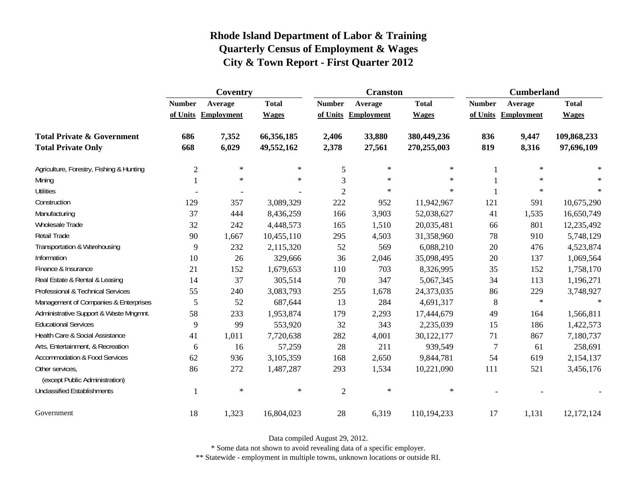|                                                   | Coventry      |                     |              |                | <b>Cranston</b>     |              | <b>Cumberland</b> |                     |              |
|---------------------------------------------------|---------------|---------------------|--------------|----------------|---------------------|--------------|-------------------|---------------------|--------------|
|                                                   | <b>Number</b> | Average             | <b>Total</b> | <b>Number</b>  | Average             | <b>Total</b> | <b>Number</b>     | Average             | <b>Total</b> |
|                                                   |               | of Units Employment | <b>Wages</b> |                | of Units Employment | <b>Wages</b> |                   | of Units Employment | <b>Wages</b> |
| <b>Total Private &amp; Government</b>             | 686           | 7,352               | 66,356,185   | 2,406          | 33,880              | 380,449,236  | 836               | 9,447               | 109,868,233  |
| <b>Total Private Only</b>                         | 668           | 6,029               | 49,552,162   | 2,378          | 27,561              | 270,255,003  | 819               | 8,316               | 97,696,109   |
| Agriculture, Forestry, Fishing & Hunting          | $\mathbf{2}$  | $\ast$              | $\ast$       | 5              | $\ast$              | $\ast$       |                   | $\ast$              | $\ast$       |
| Mining                                            |               | $\ast$              | $\ast$       | 3              | $\ast$              | $\ast$       |                   | $\star$             |              |
| <b>Utilities</b>                                  |               |                     |              | $\overline{c}$ | ∗                   | $\ast$       |                   | $\ast$              | $\ast$       |
| Construction                                      | 129           | 357                 | 3,089,329    | 222            | 952                 | 11,942,967   | 121               | 591                 | 10,675,290   |
| Manufacturing                                     | 37            | 444                 | 8,436,259    | 166            | 3,903               | 52,038,627   | 41                | 1,535               | 16,650,749   |
| Wholesale Trade                                   | 32            | 242                 | 4,448,573    | 165            | 1,510               | 20,035,481   | 66                | 801                 | 12,235,492   |
| Retail Trade                                      | 90            | 1,667               | 10,455,110   | 295            | 4,503               | 31,358,960   | 78                | 910                 | 5,748,129    |
| Transportation & Warehousing                      | 9             | 232                 | 2,115,320    | 52             | 569                 | 6,088,210    | $20\,$            | 476                 | 4,523,874    |
| Information                                       | 10            | 26                  | 329,666      | 36             | 2,046               | 35,098,495   | 20                | 137                 | 1,069,564    |
| Finance & Insurance                               | 21            | 152                 | 1,679,653    | 110            | 703                 | 8,326,995    | 35                | 152                 | 1,758,170    |
| Real Estate & Rental & Leasing                    | 14            | 37                  | 305,514      | 70             | 347                 | 5,067,345    | 34                | 113                 | 1,196,271    |
| Professional & Technical Services                 | 55            | 240                 | 3,083,793    | 255            | 1,678               | 24,373,035   | 86                | 229                 | 3,748,927    |
| Management of Companies & Enterprises             | 5             | 52                  | 687,644      | 13             | 284                 | 4,691,317    | 8                 | $\ast$              | $\ast$       |
| Administrative Support & Waste Mngmnt.            | 58            | 233                 | 1,953,874    | 179            | 2,293               | 17,444,679   | 49                | 164                 | 1,566,811    |
| <b>Educational Services</b>                       | 9             | 99                  | 553,920      | 32             | 343                 | 2,235,039    | 15                | 186                 | 1,422,573    |
| Health Care & Social Assistance                   | 41            | 1,011               | 7,720,638    | 282            | 4,001               | 30,122,177   | 71                | 867                 | 7,180,737    |
| Arts, Entertainment, & Recreation                 | 6             | 16                  | 57,259       | 28             | 211                 | 939,549      | $\overline{7}$    | 61                  | 258,691      |
| <b>Accommodation &amp; Food Services</b>          | 62            | 936                 | 3,105,359    | 168            | 2,650               | 9,844,781    | 54                | 619                 | 2,154,137    |
| Other services,<br>(except Public Administration) | 86            | 272                 | 1,487,287    | 293            | 1,534               | 10,221,090   | 111               | 521                 | 3,456,176    |
| <b>Unclassified Establishments</b>                |               | $\ast$              | $\ast$       | $\mathfrak{2}$ | $\ast$              | $\ast$       |                   |                     |              |
| Government                                        | 18            | 1,323               | 16,804,023   | 28             | 6,319               | 110,194,233  | 17                | 1,131               | 12,172,124   |

Data compiled August 29, 2012.

\* Some data not shown to avoid revealing data of a specific employer.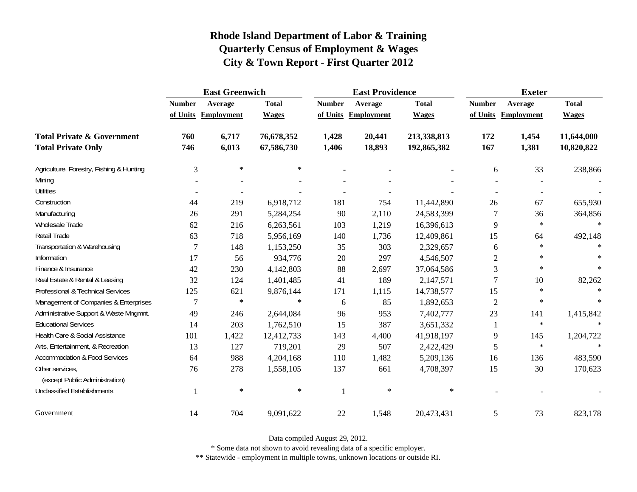|                                                   | <b>East Greenwich</b> |                     |              |               | <b>East Providence</b> |              | <b>Exeter</b>  |                     |              |
|---------------------------------------------------|-----------------------|---------------------|--------------|---------------|------------------------|--------------|----------------|---------------------|--------------|
|                                                   | <b>Number</b>         | Average             | <b>Total</b> | <b>Number</b> | Average                | <b>Total</b> | <b>Number</b>  | Average             | <b>Total</b> |
|                                                   |                       | of Units Employment | <b>Wages</b> |               | of Units Employment    | <b>Wages</b> |                | of Units Employment | <b>Wages</b> |
| <b>Total Private &amp; Government</b>             | 760                   | 6,717               | 76,678,352   | 1,428         | 20,441                 | 213,338,813  | 172            | 1,454               | 11,644,000   |
| <b>Total Private Only</b>                         | 746                   | 6,013               | 67,586,730   | 1,406         | 18,893                 | 192,865,382  | 167            | 1,381               | 10,820,822   |
| Agriculture, Forestry, Fishing & Hunting          | 3                     | $\ast$              | $\ast$       |               |                        |              | 6              | 33                  | 238,866      |
| Mining                                            |                       |                     |              |               |                        |              |                |                     |              |
| <b>Utilities</b>                                  |                       |                     |              |               |                        |              |                |                     |              |
| Construction                                      | 44                    | 219                 | 6,918,712    | 181           | 754                    | 11,442,890   | 26             | 67                  | 655,930      |
| Manufacturing                                     | 26                    | 291                 | 5,284,254    | 90            | 2,110                  | 24,583,399   | 7              | 36                  | 364,856      |
| <b>Wholesale Trade</b>                            | 62                    | 216                 | 6,263,561    | 103           | 1,219                  | 16,396,613   | 9              | $\ast$              | $\ast$       |
| Retail Trade                                      | 63                    | 718                 | 5,956,169    | 140           | 1,736                  | 12,409,861   | 15             | 64                  | 492,148      |
| Transportation & Warehousing                      | 7                     | 148                 | 1,153,250    | 35            | 303                    | 2,329,657    | 6              | $\ast$              | $\ast$       |
| Information                                       | 17                    | 56                  | 934,776      | 20            | 297                    | 4,546,507    | $\overline{2}$ | $\ast$              |              |
| Finance & Insurance                               | 42                    | 230                 | 4,142,803    | 88            | 2,697                  | 37,064,586   | 3              | $\star$             | $\ast$       |
| Real Estate & Rental & Leasing                    | 32                    | 124                 | 1,401,485    | 41            | 189                    | 2,147,571    | 7              | 10                  | 82,262       |
| Professional & Technical Services                 | 125                   | 621                 | 9,876,144    | 171           | 1,115                  | 14,738,577   | 15             | $\ast$              |              |
| Management of Companies & Enterprises             | 7                     | $\ast$              | $\ast$       | 6             | 85                     | 1,892,653    | $\overline{2}$ | $\ast$              | $\ast$       |
| Administrative Support & Waste Mngmnt.            | 49                    | 246                 | 2,644,084    | 96            | 953                    | 7,402,777    | 23             | 141                 | 1,415,842    |
| <b>Educational Services</b>                       | 14                    | 203                 | 1,762,510    | 15            | 387                    | 3,651,332    | 1              | $\ast$              |              |
| Health Care & Social Assistance                   | 101                   | 1,422               | 12,412,733   | 143           | 4,400                  | 41,918,197   | 9              | 145                 | 1,204,722    |
| Arts, Entertainment, & Recreation                 | 13                    | 127                 | 719,201      | 29            | 507                    | 2,422,429    | 5              | $\ast$              | $\star$      |
| <b>Accommodation &amp; Food Services</b>          | 64                    | 988                 | 4,204,168    | 110           | 1,482                  | 5,209,136    | 16             | 136                 | 483,590      |
| Other services,<br>(except Public Administration) | 76                    | 278                 | 1,558,105    | 137           | 661                    | 4,708,397    | 15             | 30                  | 170,623      |
| <b>Unclassified Establishments</b>                |                       | $\ast$              | $\ast$       | $\mathbf{1}$  | $\ast$                 | $\ast$       |                |                     |              |
| Government                                        | 14                    | 704                 | 9,091,622    | 22            | 1,548                  | 20,473,431   | $\sqrt{5}$     | 73                  | 823,178      |

Data compiled August 29, 2012.

\* Some data not shown to avoid revealing data of a specific employer.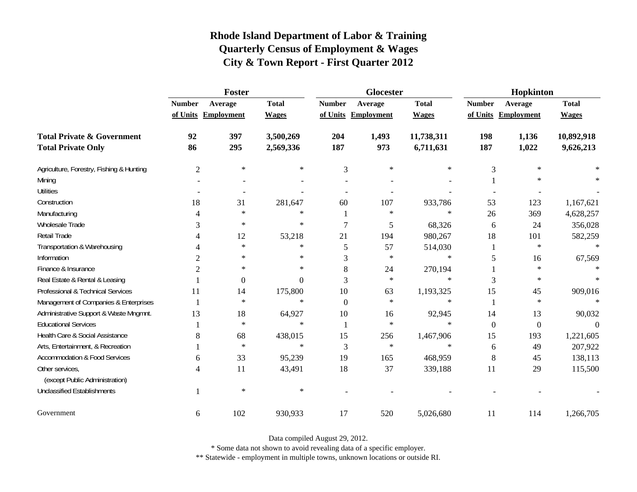|                                                   |                | Foster              |              |                | Glocester           |              | Hopkinton     |                     |              |
|---------------------------------------------------|----------------|---------------------|--------------|----------------|---------------------|--------------|---------------|---------------------|--------------|
|                                                   | <b>Number</b>  | Average             | <b>Total</b> | <b>Number</b>  | Average             | <b>Total</b> | <b>Number</b> | Average             | <b>Total</b> |
|                                                   |                | of Units Employment | <b>Wages</b> |                | of Units Employment | <b>Wages</b> |               | of Units Employment | <b>Wages</b> |
| <b>Total Private &amp; Government</b>             | 92             | 397                 | 3,500,269    | 204            | 1,493               | 11,738,311   | 198           | 1,136               | 10,892,918   |
| <b>Total Private Only</b>                         | 86             | 295                 | 2,569,336    | 187            | 973                 | 6,711,631    | 187           | 1,022               | 9,626,213    |
| Agriculture, Forestry, Fishing & Hunting          | $\overline{c}$ | $\ast$              | $\ast$       | 3              | ∗                   | ∗            | 3             | $\ast$              |              |
| Mining                                            |                |                     |              |                |                     |              |               | $\ast$              |              |
| <b>Utilities</b>                                  |                |                     |              |                |                     |              |               |                     |              |
| Construction                                      | 18             | 31                  | 281,647      | 60             | 107                 | 933,786      | 53            | 123                 | 1,167,621    |
| Manufacturing                                     | 4              | $\ast$              | $\ast$       |                | $\ast$              | $\ast$       | 26            | 369                 | 4,628,257    |
| Wholesale Trade                                   | 3              | $\ast$              | $\ast$       | $\overline{7}$ | 5                   | 68,326       | 6             | 24                  | 356,028      |
| Retail Trade                                      |                | 12                  | 53,218       | 21             | 194                 | 980,267      | 18            | 101                 | 582,259      |
| Transportation & Warehousing                      |                | $\ast$              | $\ast$       | 5              | 57                  | 514,030      | 1             | $\ast$              | $\ast$       |
| Information                                       | $\overline{c}$ | $\ast$              | $\ast$       | 3              | $\ast$              | $\ast$       | 5             | 16                  | 67,569       |
| Finance & Insurance                               | $\overline{2}$ | $\ast$              | $\ast$       | 8              | 24                  | 270,194      |               | $\ast$              |              |
| Real Estate & Rental & Leasing                    |                | $\theta$            | 0            | 3              | $\ast$              | $\ast$       | 3             | $\ast$              |              |
| Professional & Technical Services                 | 11             | 14                  | 175,800      | 10             | 63                  | 1,193,325    | 15            | 45                  | 909,016      |
| Management of Companies & Enterprises             |                | $\ast$              | $\ast$       | $\Omega$       | $\ast$              | $\ast$       | 1             | $\ast$              | $\ast$       |
| Administrative Support & Waste Mngmnt.            | 13             | 18                  | 64,927       | 10             | 16                  | 92,945       | 14            | 13                  | 90,032       |
| <b>Educational Services</b>                       |                | $\ast$              | $\ast$       |                | $\ast$              | $\ast$       | $\mathbf{0}$  | $\boldsymbol{0}$    | $\Omega$     |
| Health Care & Social Assistance                   | 8              | 68                  | 438,015      | 15             | 256                 | 1,467,906    | 15            | 193                 | 1,221,605    |
| Arts, Entertainment, & Recreation                 |                | $\ast$              | $\ast$       | 3              | $\ast$              | $\ast$       | 6             | 49                  | 207,922      |
| <b>Accommodation &amp; Food Services</b>          | 6              | 33                  | 95,239       | 19             | 165                 | 468,959      | 8             | 45                  | 138,113      |
| Other services,<br>(except Public Administration) | 4              | 11                  | 43,491       | 18             | 37                  | 339,188      | 11            | 29                  | 115,500      |
| <b>Unclassified Establishments</b>                |                | $\ast$              | $\ast$       |                |                     |              |               |                     |              |
| Government                                        | 6              | 102                 | 930,933      | 17             | 520                 | 5,026,680    | 11            | 114                 | 1,266,705    |

Data compiled August 29, 2012.

\* Some data not shown to avoid revealing data of a specific employer.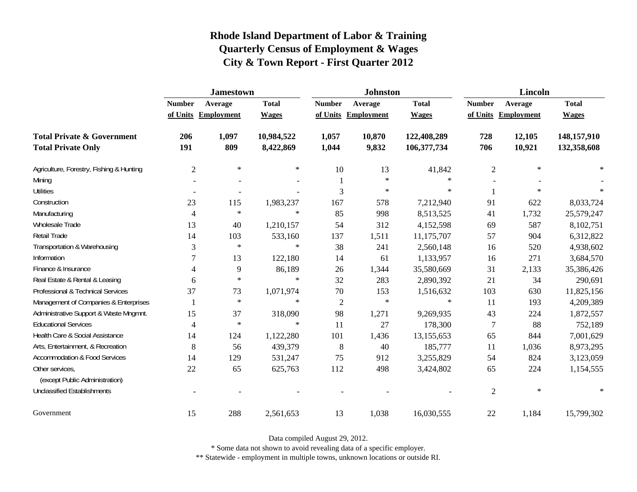|                                                   | <b>Jamestown</b> |                     |              |                | <b>Johnston</b>   |              | <b>Lincoln</b> |                     |              |
|---------------------------------------------------|------------------|---------------------|--------------|----------------|-------------------|--------------|----------------|---------------------|--------------|
|                                                   | <b>Number</b>    | Average             | <b>Total</b> | <b>Number</b>  | Average           | <b>Total</b> | <b>Number</b>  | Average             | <b>Total</b> |
|                                                   |                  | of Units Employment | <b>Wages</b> | of Units       | <b>Employment</b> | <b>Wages</b> |                | of Units Employment | <b>Wages</b> |
| <b>Total Private &amp; Government</b>             | 206              | 1,097               | 10,984,522   | 1,057          | 10,870            | 122,408,289  | 728            | 12,105              | 148,157,910  |
| <b>Total Private Only</b>                         | 191              | 809                 | 8,422,869    | 1,044          | 9,832             | 106,377,734  | 706            | 10,921              | 132,358,608  |
| Agriculture, Forestry, Fishing & Hunting          | $\overline{2}$   | $\ast$              | $\ast$       | 10             | 13                | 41,842       | $\overline{c}$ | $\ast$              | $\ast$       |
| Mining                                            |                  |                     |              |                | $\ast$            | $\ast$       |                |                     |              |
| <b>Utilities</b>                                  |                  |                     |              | 3              | $\ast$            | $\ast$       |                | $\ast$              |              |
| Construction                                      | 23               | 115                 | 1,983,237    | 167            | 578               | 7,212,940    | 91             | 622                 | 8,033,724    |
| Manufacturing                                     | 4                | $\ast$              | $\ast$       | 85             | 998               | 8,513,525    | 41             | 1,732               | 25,579,247   |
| Wholesale Trade                                   | 13               | 40                  | 1,210,157    | 54             | 312               | 4,152,598    | 69             | 587                 | 8,102,751    |
| Retail Trade                                      | 14               | 103                 | 533,160      | 137            | 1,511             | 11,175,707   | 57             | 904                 | 6,312,822    |
| Transportation & Warehousing                      | 3                | $\ast$              | $\ast$       | 38             | 241               | 2,560,148    | 16             | 520                 | 4,938,602    |
| Information                                       | 7                | 13                  | 122,180      | 14             | 61                | 1,133,957    | 16             | 271                 | 3,684,570    |
| Finance & Insurance                               | 4                | 9                   | 86,189       | 26             | 1,344             | 35,580,669   | 31             | 2,133               | 35,386,426   |
| Real Estate & Rental & Leasing                    | 6                | $\ast$              | $\ast$       | 32             | 283               | 2,890,392    | 21             | 34                  | 290,691      |
| Professional & Technical Services                 | 37               | 73                  | 1,071,974    | $70\,$         | 153               | 1,516,632    | 103            | 630                 | 11,825,156   |
| Management of Companies & Enterprises             |                  | $\ast$              | $\ast$       | $\overline{2}$ | $\ast$            | $\ast$       | 11             | 193                 | 4,209,389    |
| Administrative Support & Waste Mngmnt.            | 15               | 37                  | 318,090      | 98             | 1,271             | 9,269,935    | 43             | 224                 | 1,872,557    |
| <b>Educational Services</b>                       | 4                | $\ast$              | $\ast$       | 11             | 27                | 178,300      | 7              | 88                  | 752,189      |
| Health Care & Social Assistance                   | 14               | 124                 | 1,122,280    | 101            | 1,436             | 13,155,653   | 65             | 844                 | 7,001,629    |
| Arts, Entertainment, & Recreation                 | 8                | 56                  | 439,379      | $\,8\,$        | 40                | 185,777      | 11             | 1,036               | 8,973,295    |
| <b>Accommodation &amp; Food Services</b>          | 14               | 129                 | 531,247      | 75             | 912               | 3,255,829    | 54             | 824                 | 3,123,059    |
| Other services,<br>(except Public Administration) | 22               | 65                  | 625,763      | 112            | 498               | 3,424,802    | 65             | 224                 | 1,154,555    |
| <b>Unclassified Establishments</b>                |                  |                     |              |                |                   |              | $\overline{c}$ | $\ast$              | $\ast$       |
| Government                                        | 15               | 288                 | 2,561,653    | 13             | 1,038             | 16,030,555   | $22\,$         | 1,184               | 15,799,302   |

Data compiled August 29, 2012.

\* Some data not shown to avoid revealing data of a specific employer.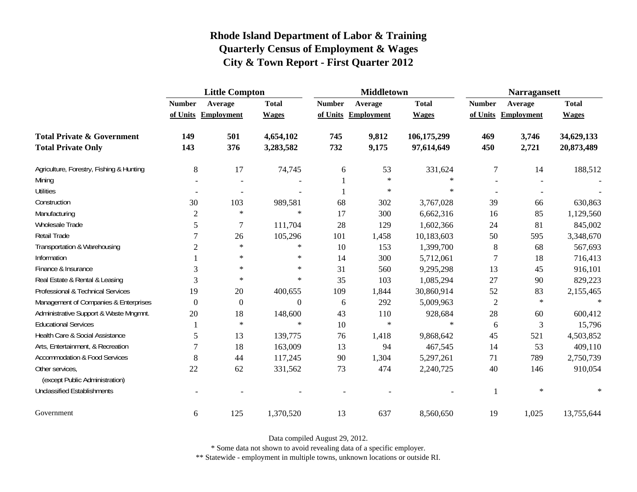|                                                   | <b>Little Compton</b> |                     |              |               | <b>Middletown</b>   |              | <b>Narragansett</b> |                     |              |
|---------------------------------------------------|-----------------------|---------------------|--------------|---------------|---------------------|--------------|---------------------|---------------------|--------------|
|                                                   | <b>Number</b>         | Average             | <b>Total</b> | <b>Number</b> | Average             | <b>Total</b> | <b>Number</b>       | Average             | <b>Total</b> |
|                                                   |                       | of Units Employment | <b>Wages</b> |               | of Units Employment | <b>Wages</b> |                     | of Units Employment | <b>Wages</b> |
| <b>Total Private &amp; Government</b>             | 149                   | 501                 | 4,654,102    | 745           | 9,812               | 106,175,299  | 469                 | 3,746               | 34,629,133   |
| <b>Total Private Only</b>                         | 143                   | 376                 | 3,283,582    | 732           | 9,175               | 97,614,649   | 450                 | 2,721               | 20,873,489   |
| Agriculture, Forestry, Fishing & Hunting          | 8                     | 17                  | 74,745       | 6             | 53                  | 331,624      | 7                   | 14                  | 188,512      |
| Mining                                            |                       |                     |              |               | $\ast$              | ∗            |                     |                     |              |
| <b>Utilities</b>                                  |                       |                     |              |               | $\ast$              | $\ast$       |                     |                     |              |
| Construction                                      | 30                    | 103                 | 989,581      | 68            | 302                 | 3,767,028    | 39                  | 66                  | 630,863      |
| Manufacturing                                     | $\mathbf{2}$          | $\ast$              | $\ast$       | 17            | 300                 | 6,662,316    | 16                  | 85                  | 1,129,560    |
| Wholesale Trade                                   | 5                     | $\tau$              | 111,704      | 28            | 129                 | 1,602,366    | 24                  | 81                  | 845,002      |
| Retail Trade                                      | $\tau$                | 26                  | 105,296      | 101           | 1,458               | 10,183,603   | 50                  | 595                 | 3,348,670    |
| Transportation & Warehousing                      | $\sqrt{2}$            | $\ast$              | $\ast$       | 10            | 153                 | 1,399,700    | 8                   | 68                  | 567,693      |
| Information                                       |                       | $\ast$              | $\ast$       | 14            | 300                 | 5,712,061    | 7                   | 18                  | 716,413      |
| Finance & Insurance                               | 3                     | $\ast$              | $\ast$       | 31            | 560                 | 9,295,298    | 13                  | 45                  | 916,101      |
| Real Estate & Rental & Leasing                    | 3                     | $\ast$              | $\ast$       | 35            | 103                 | 1,085,294    | 27                  | 90                  | 829,223      |
| Professional & Technical Services                 | 19                    | 20                  | 400,655      | 109           | 1,844               | 30,860,914   | 52                  | 83                  | 2,155,465    |
| Management of Companies & Enterprises             | $\Omega$              | $\boldsymbol{0}$    | $\Omega$     | 6             | 292                 | 5,009,963    | $\overline{2}$      | $\ast$              | $\star$      |
| Administrative Support & Waste Mngmnt.            | 20                    | 18                  | 148,600      | 43            | 110                 | 928,684      | 28                  | 60                  | 600,412      |
| <b>Educational Services</b>                       |                       | $\ast$              | $\ast$       | 10            | $\ast$              | $\ast$       | 6                   | 3                   | 15,796       |
| Health Care & Social Assistance                   | 5                     | 13                  | 139,775      | 76            | 1,418               | 9,868,642    | 45                  | 521                 | 4,503,852    |
| Arts, Entertainment, & Recreation                 | 7                     | 18                  | 163,009      | 13            | 94                  | 467,545      | 14                  | 53                  | 409,110      |
| <b>Accommodation &amp; Food Services</b>          | 8                     | 44                  | 117,245      | 90            | 1,304               | 5,297,261    | 71                  | 789                 | 2,750,739    |
| Other services,<br>(except Public Administration) | 22                    | 62                  | 331,562      | 73            | 474                 | 2,240,725    | 40                  | 146                 | 910,054      |
| <b>Unclassified Establishments</b>                |                       |                     |              |               |                     |              | 1                   | $\ast$              | $\ast$       |
| Government                                        | 6                     | 125                 | 1,370,520    | 13            | 637                 | 8,560,650    | 19                  | 1,025               | 13,755,644   |

Data compiled August 29, 2012.

\* Some data not shown to avoid revealing data of a specific employer.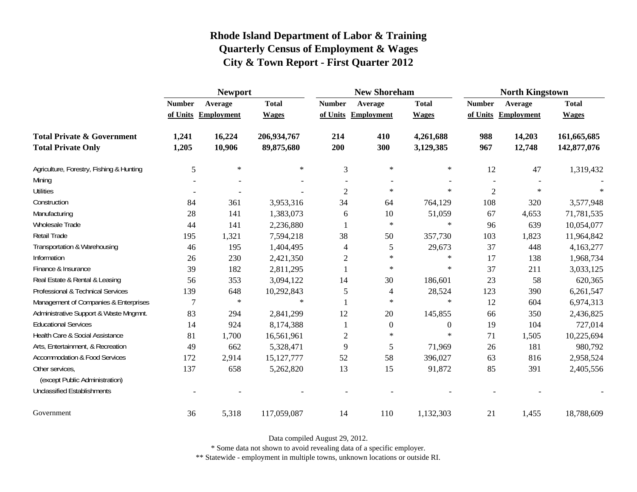|                                                   | <b>Newport</b> |                     |              |                     | <b>New Shoreham</b> |                  | <b>North Kingstown</b> |                     |              |
|---------------------------------------------------|----------------|---------------------|--------------|---------------------|---------------------|------------------|------------------------|---------------------|--------------|
|                                                   | <b>Number</b>  | Average             | <b>Total</b> | <b>Number</b>       | Average             | <b>Total</b>     | <b>Number</b>          | Average             | <b>Total</b> |
|                                                   |                | of Units Employment | <b>Wages</b> | of Units Employment |                     | <b>Wages</b>     |                        | of Units Employment | <b>Wages</b> |
| <b>Total Private &amp; Government</b>             | 1,241          | 16,224              | 206,934,767  | 214                 | 410                 | 4,261,688        | 988                    | 14,203              | 161,665,685  |
| <b>Total Private Only</b>                         | 1,205          | 10,906              | 89,875,680   | 200                 | 300                 | 3,129,385        | 967                    | 12,748              | 142,877,076  |
| Agriculture, Forestry, Fishing & Hunting          | 5              | $\ast$              | $\ast$       | 3                   | $\ast$              | $\ast$           | 12                     | 47                  | 1,319,432    |
| Mining                                            |                |                     |              |                     |                     |                  |                        |                     |              |
| <b>Utilities</b>                                  |                |                     |              | $\overline{c}$      | $\ast$              | $\ast$           | $\overline{c}$         | $\ast$              | $\ast$       |
| Construction                                      | 84             | 361                 | 3,953,316    | 34                  | 64                  | 764,129          | 108                    | 320                 | 3,577,948    |
| Manufacturing                                     | 28             | 141                 | 1,383,073    | 6                   | 10                  | 51,059           | 67                     | 4,653               | 71,781,535   |
| Wholesale Trade                                   | 44             | 141                 | 2,236,880    |                     | $\ast$              | $\ast$           | 96                     | 639                 | 10,054,077   |
| <b>Retail Trade</b>                               | 195            | 1,321               | 7,594,218    | 38                  | 50                  | 357,730          | 103                    | 1,823               | 11,964,842   |
| Transportation & Warehousing                      | 46             | 195                 | 1,404,495    | 4                   | 5                   | 29,673           | 37                     | 448                 | 4,163,277    |
| Information                                       | 26             | 230                 | 2,421,350    | $\overline{c}$      | $\ast$              | $\ast$           | 17                     | 138                 | 1,968,734    |
| Finance & Insurance                               | 39             | 182                 | 2,811,295    |                     | $\ast$              | $\ast$           | 37                     | 211                 | 3,033,125    |
| Real Estate & Rental & Leasing                    | 56             | 353                 | 3,094,122    | 14                  | 30                  | 186,601          | 23                     | 58                  | 620,365      |
| Professional & Technical Services                 | 139            | 648                 | 10,292,843   | 5                   | 4                   | 28,524           | 123                    | 390                 | 6,261,547    |
| Management of Companies & Enterprises             | 7              | $\ast$              | $\ast$       | $\mathbf{1}$        | $\ast$              | $\ast$           | 12                     | 604                 | 6,974,313    |
| Administrative Support & Waste Mngmnt.            | 83             | 294                 | 2,841,299    | 12                  | 20                  | 145,855          | 66                     | 350                 | 2,436,825    |
| <b>Educational Services</b>                       | 14             | 924                 | 8,174,388    |                     | $\boldsymbol{0}$    | $\boldsymbol{0}$ | 19                     | 104                 | 727,014      |
| Health Care & Social Assistance                   | 81             | 1,700               | 16,561,961   | $\overline{c}$      | $\ast$              | $\ast$           | 71                     | 1,505               | 10,225,694   |
| Arts, Entertainment, & Recreation                 | 49             | 662                 | 5,328,471    | 9                   | 5                   | 71,969           | 26                     | 181                 | 980,792      |
| <b>Accommodation &amp; Food Services</b>          | 172            | 2,914               | 15, 127, 777 | 52                  | 58                  | 396,027          | 63                     | 816                 | 2,958,524    |
| Other services,<br>(except Public Administration) | 137            | 658                 | 5,262,820    | 13                  | 15                  | 91,872           | 85                     | 391                 | 2,405,556    |
| <b>Unclassified Establishments</b>                |                |                     |              |                     |                     |                  |                        |                     |              |
| Government                                        | 36             | 5,318               | 117,059,087  | 14                  | 110                 | 1,132,303        | 21                     | 1,455               | 18,788,609   |

Data compiled August 29, 2012.

\* Some data not shown to avoid revealing data of a specific employer.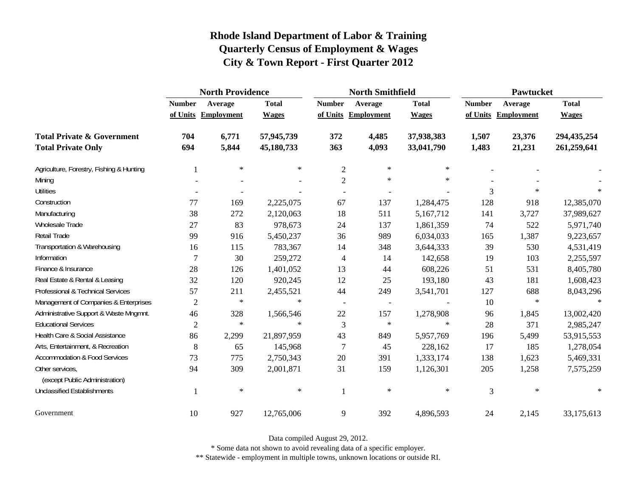|                                                   | <b>North Providence</b> |                     |              |                          | <b>North Smithfield</b>  |              | <b>Pawtucket</b> |                     |              |
|---------------------------------------------------|-------------------------|---------------------|--------------|--------------------------|--------------------------|--------------|------------------|---------------------|--------------|
|                                                   | <b>Number</b>           | Average             | <b>Total</b> | <b>Number</b>            | Average                  | <b>Total</b> | <b>Number</b>    | Average             | <b>Total</b> |
|                                                   |                         | of Units Employment | <b>Wages</b> |                          | of Units Employment      | <b>Wages</b> |                  | of Units Employment | <b>Wages</b> |
| <b>Total Private &amp; Government</b>             | 704                     | 6,771               | 57,945,739   | 372                      | 4,485                    | 37,938,383   | 1,507            | 23,376              | 294,435,254  |
| <b>Total Private Only</b>                         | 694                     | 5,844               | 45,180,733   | 363                      | 4,093                    | 33,041,790   | 1,483            | 21,231              | 261,259,641  |
| Agriculture, Forestry, Fishing & Hunting          | 1                       | $\ast$              | $\ast$       | $\overline{2}$           | $\ast$                   | $\ast$       |                  |                     |              |
| Mining                                            |                         |                     |              | $\overline{2}$           | $\ast$                   | $\ast$       |                  |                     |              |
| <b>Utilities</b>                                  |                         |                     |              |                          |                          |              | 3                | $\ast$              |              |
| Construction                                      | 77                      | 169                 | 2,225,075    | 67                       | 137                      | 1,284,475    | 128              | 918                 | 12,385,070   |
| Manufacturing                                     | 38                      | 272                 | 2,120,063    | 18                       | 511                      | 5,167,712    | 141              | 3,727               | 37,989,627   |
| <b>Wholesale Trade</b>                            | 27                      | 83                  | 978,673      | 24                       | 137                      | 1,861,359    | 74               | 522                 | 5,971,740    |
| Retail Trade                                      | 99                      | 916                 | 5,450,237    | 36                       | 989                      | 6,034,033    | 165              | 1,387               | 9,223,657    |
| Transportation & Warehousing                      | 16                      | 115                 | 783,367      | 14                       | 348                      | 3,644,333    | 39               | 530                 | 4,531,419    |
| Information                                       | $\overline{7}$          | 30                  | 259,272      | $\overline{4}$           | 14                       | 142,658      | 19               | 103                 | 2,255,597    |
| Finance & Insurance                               | 28                      | 126                 | 1,401,052    | 13                       | 44                       | 608,226      | 51               | 531                 | 8,405,780    |
| Real Estate & Rental & Leasing                    | 32                      | 120                 | 920,245      | 12                       | 25                       | 193,180      | 43               | 181                 | 1,608,423    |
| Professional & Technical Services                 | 57                      | 211                 | 2,455,521    | 44                       | 249                      | 3,541,701    | 127              | 688                 | 8,043,296    |
| Management of Companies & Enterprises             | $\overline{2}$          | $\ast$              | $\ast$       | $\overline{\phantom{a}}$ | $\overline{\phantom{a}}$ |              | 10               | $\ast$              | $\ast$       |
| Administrative Support & Waste Mngmnt.            | 46                      | 328                 | 1,566,546    | $22\,$                   | 157                      | 1,278,908    | 96               | 1,845               | 13,002,420   |
| <b>Educational Services</b>                       | $\overline{2}$          | $\ast$              | $\ast$       | 3                        | $\ast$                   | $\ast$       | 28               | 371                 | 2,985,247    |
| Health Care & Social Assistance                   | 86                      | 2,299               | 21,897,959   | 43                       | 849                      | 5,957,769    | 196              | 5,499               | 53,915,553   |
| Arts, Entertainment, & Recreation                 | 8                       | 65                  | 145,968      | 7                        | 45                       | 228,162      | 17               | 185                 | 1,278,054    |
| <b>Accommodation &amp; Food Services</b>          | 73                      | 775                 | 2,750,343    | 20                       | 391                      | 1,333,174    | 138              | 1,623               | 5,469,331    |
| Other services,<br>(except Public Administration) | 94                      | 309                 | 2,001,871    | 31                       | 159                      | 1,126,301    | 205              | 1,258               | 7,575,259    |
| <b>Unclassified Establishments</b>                | -1                      | $\ast$              | $\ast$       | $\mathbf{1}$             | $\ast$                   | $\ast$       | 3                | $\ast$              | $\ast$       |
| Government                                        | 10                      | 927                 | 12,765,006   | 9                        | 392                      | 4,896,593    | 24               | 2,145               | 33,175,613   |

Data compiled August 29, 2012.

\* Some data not shown to avoid revealing data of a specific employer.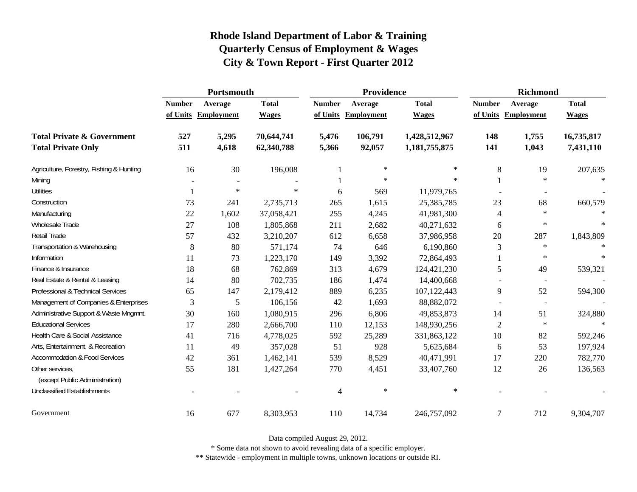|                                                   | Portsmouth    |                     |              |               | Providence          |               | <b>Richmond</b> |                          |              |
|---------------------------------------------------|---------------|---------------------|--------------|---------------|---------------------|---------------|-----------------|--------------------------|--------------|
|                                                   | <b>Number</b> | Average             | <b>Total</b> | <b>Number</b> | Average             | <b>Total</b>  | <b>Number</b>   | Average                  | <b>Total</b> |
|                                                   |               | of Units Employment | <b>Wages</b> |               | of Units Employment | <b>Wages</b>  |                 | of Units Employment      | <b>Wages</b> |
| <b>Total Private &amp; Government</b>             | 527           | 5,295               | 70,644,741   | 5,476         | 106,791             | 1,428,512,967 | 148             | 1,755                    | 16,735,817   |
| <b>Total Private Only</b>                         | 511           | 4,618               | 62,340,788   | 5,366         | 92,057              | 1,181,755,875 | 141             | 1,043                    | 7,431,110    |
| Agriculture, Forestry, Fishing & Hunting          | 16            | 30                  | 196,008      |               | $\ast$              | $\ast$        | 8               | 19                       | 207,635      |
| Mining                                            |               |                     |              |               | $\ast$              | $\ast$        |                 | $\ast$                   | $\ast$       |
| <b>Utilities</b>                                  |               | $\ast$              | $\ast$       | 6             | 569                 | 11,979,765    |                 |                          |              |
| Construction                                      | 73            | 241                 | 2,735,713    | 265           | 1,615               | 25,385,785    | 23              | 68                       | 660,579      |
| Manufacturing                                     | $22\,$        | 1,602               | 37,058,421   | 255           | 4,245               | 41,981,300    | 4               | $\ast$                   | $\ast$       |
| Wholesale Trade                                   | 27            | 108                 | 1,805,868    | 211           | 2,682               | 40,271,632    | 6               | $\star$                  | $\ast$       |
| <b>Retail Trade</b>                               | 57            | 432                 | 3,210,207    | 612           | 6,658               | 37,986,958    | 20              | 287                      | 1,843,809    |
| Transportation & Warehousing                      | 8             | 80                  | 571,174      | 74            | 646                 | 6,190,860     | 3               | $\ast$                   | $\ast$       |
| Information                                       | 11            | 73                  | 1,223,170    | 149           | 3,392               | 72,864,493    |                 | $\ast$                   | $\ast$       |
| Finance & Insurance                               | 18            | 68                  | 762,869      | 313           | 4,679               | 124,421,230   | 5               | 49                       | 539,321      |
| Real Estate & Rental & Leasing                    | 14            | 80                  | 702,735      | 186           | 1,474               | 14,400,668    |                 |                          |              |
| Professional & Technical Services                 | 65            | 147                 | 2,179,412    | 889           | 6,235               | 107,122,443   | 9               | 52                       | 594,300      |
| Management of Companies & Enterprises             | 3             | 5                   | 106,156      | 42            | 1,693               | 88,882,072    |                 | $\overline{\phantom{a}}$ |              |
| Administrative Support & Waste Mngmnt.            | 30            | 160                 | 1,080,915    | 296           | 6,806               | 49,853,873    | 14              | 51                       | 324,880      |
| <b>Educational Services</b>                       | 17            | 280                 | 2,666,700    | 110           | 12,153              | 148,930,256   | $\mathfrak{2}$  | $\ast$                   | $\star$      |
| Health Care & Social Assistance                   | 41            | 716                 | 4,778,025    | 592           | 25,289              | 331,863,122   | 10              | 82                       | 592,246      |
| Arts, Entertainment, & Recreation                 | 11            | 49                  | 357,028      | 51            | 928                 | 5,625,684     | 6               | 53                       | 197,924      |
| <b>Accommodation &amp; Food Services</b>          | 42            | 361                 | 1,462,141    | 539           | 8,529               | 40,471,991    | 17              | 220                      | 782,770      |
| Other services,<br>(except Public Administration) | 55            | 181                 | 1,427,264    | 770           | 4,451               | 33,407,760    | 12              | 26                       | 136,563      |
| <b>Unclassified Establishments</b>                |               |                     |              | 4             | $\ast$              | $\ast$        |                 |                          |              |
| Government                                        | 16            | 677                 | 8,303,953    | 110           | 14,734              | 246,757,092   | 7               | 712                      | 9,304,707    |

Data compiled August 29, 2012.

\* Some data not shown to avoid revealing data of a specific employer.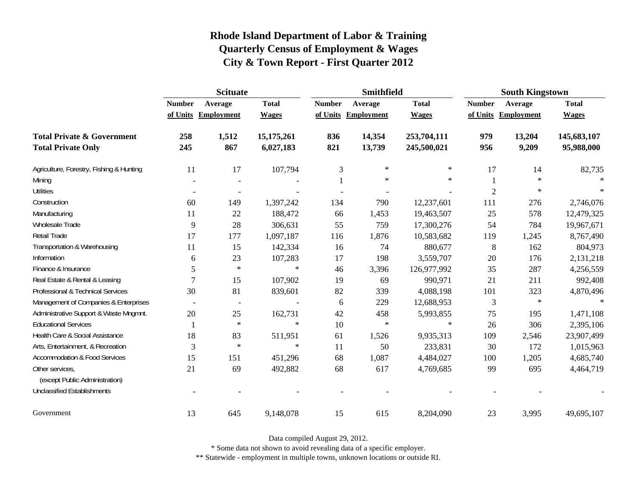|                                          | <b>Scituate</b>          |                          |              |               | <b>Smithfield</b>   |              | <b>South Kingstown</b> |                   |              |
|------------------------------------------|--------------------------|--------------------------|--------------|---------------|---------------------|--------------|------------------------|-------------------|--------------|
|                                          | <b>Number</b>            | Average                  | <b>Total</b> | <b>Number</b> | Average             | <b>Total</b> | <b>Number</b>          | Average           | <b>Total</b> |
|                                          |                          | of Units Employment      | <b>Wages</b> |               | of Units Employment | <b>Wages</b> | of Units               | <b>Employment</b> | <b>Wages</b> |
| <b>Total Private &amp; Government</b>    | 258                      | 1,512                    | 15,175,261   | 836           | 14,354              | 253,704,111  | 979                    | 13,204            | 145,683,107  |
| <b>Total Private Only</b>                | 245                      | 867                      | 6,027,183    | 821           | 13,739              | 245,500,021  | 956                    | 9,209             | 95,988,000   |
| Agriculture, Forestry, Fishing & Hunting | 11                       | 17                       | 107,794      | 3             | $\ast$              | $\star$      | 17                     | 14                | 82,735       |
| Mining                                   |                          |                          |              |               | $\ast$              | $\ast$       |                        | $\ast$            |              |
| <b>Utilities</b>                         |                          |                          |              |               |                     |              | $\overline{2}$         | $\ast$            | $\ast$       |
| Construction                             | 60                       | 149                      | 1,397,242    | 134           | 790                 | 12,237,601   | 111                    | 276               | 2,746,076    |
| Manufacturing                            | 11                       | 22                       | 188,472      | 66            | 1,453               | 19,463,507   | 25                     | 578               | 12,479,325   |
| Wholesale Trade                          | 9                        | 28                       | 306,631      | 55            | 759                 | 17,300,276   | 54                     | 784               | 19,967,671   |
| Retail Trade                             | 17                       | 177                      | 1,097,187    | 116           | 1,876               | 10,583,682   | 119                    | 1,245             | 8,767,490    |
| Transportation & Warehousing             | 11                       | 15                       | 142,334      | 16            | 74                  | 880,677      | $\,8\,$                | 162               | 804,973      |
| Information                              | 6                        | 23                       | 107,283      | 17            | 198                 | 3,559,707    | 20                     | 176               | 2,131,218    |
| Finance & Insurance                      | 5                        | $\ast$                   | $\ast$       | 46            | 3,396               | 126,977,992  | 35                     | 287               | 4,256,559    |
| Real Estate & Rental & Leasing           | 7                        | 15                       | 107,902      | 19            | 69                  | 990,971      | 21                     | 211               | 992,408      |
| Professional & Technical Services        | 30                       | 81                       | 839,601      | 82            | 339                 | 4,088,198    | 101                    | 323               | 4,870,496    |
| Management of Companies & Enterprises    | $\overline{\phantom{a}}$ | $\overline{\phantom{a}}$ |              | 6             | 229                 | 12,688,953   | 3                      | $\ast$            | $\ast$       |
| Administrative Support & Waste Mngmnt.   | 20                       | 25                       | 162,731      | 42            | 458                 | 5,993,855    | 75                     | 195               | 1,471,108    |
| <b>Educational Services</b>              |                          | $\ast$                   | $\ast$       | 10            | $\ast$              | $\ast$       | 26                     | 306               | 2,395,106    |
| Health Care & Social Assistance          | 18                       | 83                       | 511,951      | 61            | 1,526               | 9,935,313    | 109                    | 2,546             | 23,907,499   |
| Arts, Entertainment, & Recreation        | 3                        | $\ast$                   | $\ast$       | 11            | 50                  | 233,831      | 30                     | 172               | 1,015,963    |
| <b>Accommodation &amp; Food Services</b> | 15                       | 151                      | 451,296      | 68            | 1,087               | 4,484,027    | 100                    | 1,205             | 4,685,740    |
| Other services,                          | 21                       | 69                       | 492,882      | 68            | 617                 | 4,769,685    | 99                     | 695               | 4,464,719    |
| (except Public Administration)           |                          |                          |              |               |                     |              |                        |                   |              |
| <b>Unclassified Establishments</b>       |                          |                          |              |               |                     |              |                        |                   |              |
| Government                               | 13                       | 645                      | 9,148,078    | 15            | 615                 | 8,204,090    | 23                     | 3,995             | 49,695,107   |

Data compiled August 29, 2012.

\* Some data not shown to avoid revealing data of a specific employer.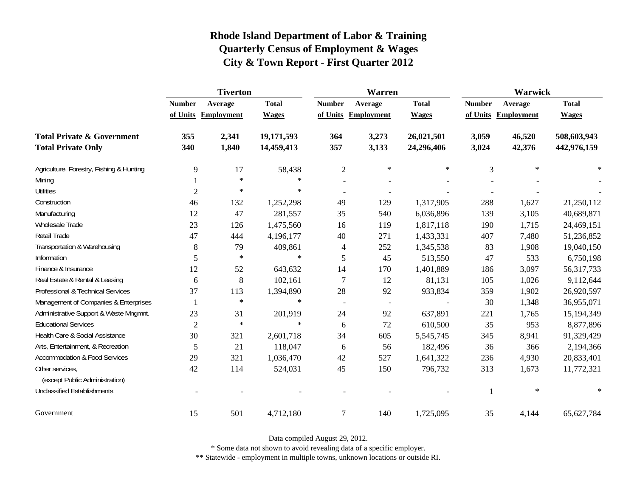|                                          | <b>Tiverton</b> |                     |              |                          | Warren                   |              | Warwick       |                     |              |
|------------------------------------------|-----------------|---------------------|--------------|--------------------------|--------------------------|--------------|---------------|---------------------|--------------|
|                                          | <b>Number</b>   | Average             | <b>Total</b> | <b>Number</b>            | Average                  | <b>Total</b> | <b>Number</b> | Average             | <b>Total</b> |
|                                          |                 | of Units Employment | <b>Wages</b> |                          | of Units Employment      | <b>Wages</b> |               | of Units Employment | <b>Wages</b> |
| <b>Total Private &amp; Government</b>    | 355             | 2,341               | 19,171,593   | 364                      | 3,273                    | 26,021,501   | 3,059         | 46,520              | 508,603,943  |
| <b>Total Private Only</b>                | 340             | 1,840               | 14,459,413   | 357                      | 3,133                    | 24,296,406   | 3,024         | 42,376              | 442,976,159  |
| Agriculture, Forestry, Fishing & Hunting | 9               | 17                  | 58,438       | $\mathfrak{2}$           | ∗                        | $\ast$       | 3             | $\ast$              | $\ast$       |
| Mining                                   |                 | $\ast$              | $\ast$       |                          |                          |              |               |                     |              |
| <b>Utilities</b>                         | $\overline{2}$  | $\ast$              | $\ast$       |                          |                          |              |               |                     |              |
| Construction                             | 46              | 132                 | 1,252,298    | 49                       | 129                      | 1,317,905    | 288           | 1,627               | 21,250,112   |
| Manufacturing                            | 12              | 47                  | 281,557      | 35                       | 540                      | 6,036,896    | 139           | 3,105               | 40,689,871   |
| <b>Wholesale Trade</b>                   | 23              | 126                 | 1,475,560    | 16                       | 119                      | 1,817,118    | 190           | 1,715               | 24,469,151   |
| Retail Trade                             | 47              | 444                 | 4,196,177    | 40                       | 271                      | 1,433,331    | 407           | 7,480               | 51,236,852   |
| Transportation & Warehousing             | $\,8\,$         | 79                  | 409,861      | $\overline{4}$           | 252                      | 1,345,538    | 83            | 1,908               | 19,040,150   |
| Information                              | 5               | $\ast$              | $\ast$       | 5                        | 45                       | 513,550      | 47            | 533                 | 6,750,198    |
| Finance & Insurance                      | 12              | 52                  | 643,632      | 14                       | 170                      | 1,401,889    | 186           | 3,097               | 56,317,733   |
| Real Estate & Rental & Leasing           | 6               | $8\,$               | 102,161      | 7                        | 12                       | 81,131       | 105           | 1,026               | 9,112,644    |
| Professional & Technical Services        | 37              | 113                 | 1,394,890    | 28                       | 92                       | 933,834      | 359           | 1,902               | 26,920,597   |
| Management of Companies & Enterprises    |                 | $\ast$              | $\ast$       | $\overline{\phantom{a}}$ | $\overline{\phantom{a}}$ |              | 30            | 1,348               | 36,955,071   |
| Administrative Support & Waste Mngmnt.   | 23              | 31                  | 201,919      | 24                       | 92                       | 637,891      | 221           | 1,765               | 15,194,349   |
| <b>Educational Services</b>              | $\overline{2}$  | $\ast$              | $\ast$       | 6                        | 72                       | 610,500      | 35            | 953                 | 8,877,896    |
| Health Care & Social Assistance          | 30              | 321                 | 2,601,718    | 34                       | 605                      | 5,545,745    | 345           | 8,941               | 91,329,429   |
| Arts, Entertainment, & Recreation        | 5               | 21                  | 118,047      | 6                        | 56                       | 182,496      | 36            | 366                 | 2,194,366    |
| <b>Accommodation &amp; Food Services</b> | 29              | 321                 | 1,036,470    | 42                       | 527                      | 1,641,322    | 236           | 4,930               | 20,833,401   |
| Other services,                          | 42              | 114                 | 524,031      | 45                       | 150                      | 796,732      | 313           | 1,673               | 11,772,321   |
| (except Public Administration)           |                 |                     |              |                          |                          |              |               | $\ast$              | $\ast$       |
| <b>Unclassified Establishments</b>       |                 |                     |              |                          |                          |              |               |                     |              |
| Government                               | 15              | 501                 | 4,712,180    | $\overline{7}$           | 140                      | 1,725,095    | 35            | 4,144               | 65,627,784   |

Data compiled August 29, 2012.

\* Some data not shown to avoid revealing data of a specific employer.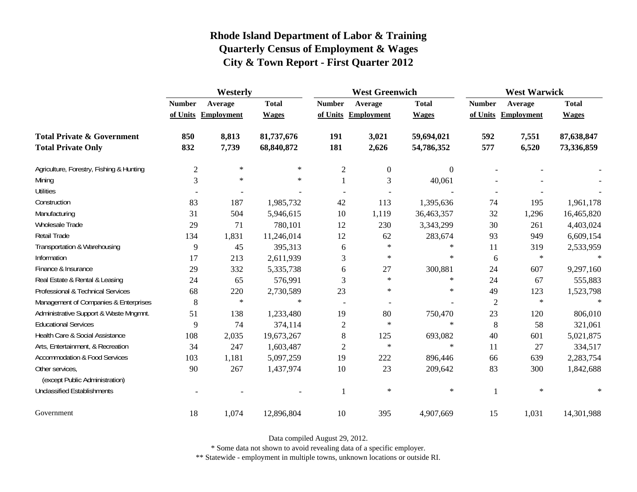|                                                   | Westerly         |                     |              |                | <b>West Greenwich</b> |                  |               | <b>West Warwick</b> |              |  |
|---------------------------------------------------|------------------|---------------------|--------------|----------------|-----------------------|------------------|---------------|---------------------|--------------|--|
|                                                   | <b>Number</b>    | Average             | <b>Total</b> | <b>Number</b>  | Average               | <b>Total</b>     | <b>Number</b> | Average             | <b>Total</b> |  |
|                                                   |                  | of Units Employment | <b>Wages</b> |                | of Units Employment   | <b>Wages</b>     |               | of Units Employment | <b>Wages</b> |  |
| <b>Total Private &amp; Government</b>             | 850              | 8,813               | 81,737,676   | 191            | 3,021                 | 59,694,021       | 592           | 7,551               | 87,638,847   |  |
| <b>Total Private Only</b>                         | 832              | 7,739               | 68,840,872   | 181            | 2,626                 | 54,786,352       | 577           | 6,520               | 73,336,859   |  |
| Agriculture, Forestry, Fishing & Hunting          | $\boldsymbol{2}$ | $\ast$              | $\ast$       | $\overline{c}$ | $\mathbf{0}$          | $\boldsymbol{0}$ |               |                     |              |  |
| Mining                                            | 3                | $\ast$              | $\ast$       | $\mathbf{1}$   | 3                     | 40,061           |               |                     |              |  |
| <b>Utilities</b>                                  |                  |                     |              |                |                       |                  |               |                     |              |  |
| Construction                                      | 83               | 187                 | 1,985,732    | 42             | 113                   | 1,395,636        | 74            | 195                 | 1,961,178    |  |
| Manufacturing                                     | 31               | 504                 | 5,946,615    | 10             | 1,119                 | 36,463,357       | 32            | 1,296               | 16,465,820   |  |
| <b>Wholesale Trade</b>                            | 29               | 71                  | 780,101      | 12             | 230                   | 3,343,299        | 30            | 261                 | 4,403,024    |  |
| Retail Trade                                      | 134              | 1,831               | 11,246,014   | 12             | 62                    | 283,674          | 93            | 949                 | 6,609,154    |  |
| Transportation & Warehousing                      | 9                | 45                  | 395,313      | 6              | $\ast$                | $\ast$           | 11            | 319                 | 2,533,959    |  |
| Information                                       | 17               | 213                 | 2,611,939    | 3              | ∗                     | $\ast$           | 6             | $\ast$              | $\ast$       |  |
| Finance & Insurance                               | 29               | 332                 | 5,335,738    | 6              | 27                    | 300,881          | 24            | 607                 | 9,297,160    |  |
| Real Estate & Rental & Leasing                    | 24               | 65                  | 576,991      | 3              | $\ast$                | $\ast$           | 24            | 67                  | 555,883      |  |
| Professional & Technical Services                 | 68               | 220                 | 2,730,589    | 23             | $\ast$                | $\ast$           | 49            | 123                 | 1,523,798    |  |
| Management of Companies & Enterprises             | 8                | $\ast$              | $\ast$       |                |                       |                  | 2             | $\ast$              | $\ast$       |  |
| Administrative Support & Waste Mngmnt.            | 51               | 138                 | 1,233,480    | 19             | 80                    | 750,470          | 23            | 120                 | 806,010      |  |
| <b>Educational Services</b>                       | 9                | 74                  | 374,114      | 2              | $\ast$                | $\ast$           | 8             | 58                  | 321,061      |  |
| Health Care & Social Assistance                   | 108              | 2,035               | 19,673,267   | $\,8\,$        | 125                   | 693,082          | 40            | 601                 | 5,021,875    |  |
| Arts, Entertainment, & Recreation                 | 34               | 247                 | 1,603,487    | $\overline{c}$ | $\ast$                | $\ast$           | 11            | 27                  | 334,517      |  |
| <b>Accommodation &amp; Food Services</b>          | 103              | 1,181               | 5,097,259    | 19             | 222                   | 896,446          | 66            | 639                 | 2,283,754    |  |
| Other services,<br>(except Public Administration) | 90               | 267                 | 1,437,974    | 10             | 23                    | 209,642          | 83            | 300                 | 1,842,688    |  |
| <b>Unclassified Establishments</b>                |                  |                     |              | 1              | $\ast$                | $\ast$           | 1             | $\ast$              | $\ast$       |  |
| Government                                        | 18               | 1,074               | 12,896,804   | 10             | 395                   | 4,907,669        | 15            | 1,031               | 14,301,988   |  |

Data compiled August 29, 2012.

\* Some data not shown to avoid revealing data of a specific employer.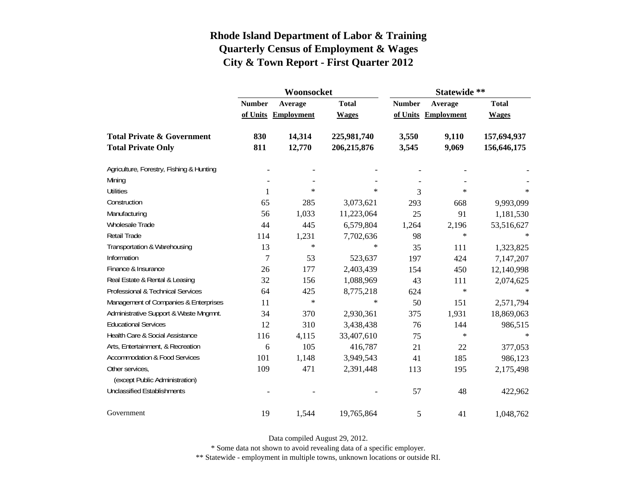|                                          |                | Woonsocket        |              | Statewide **  |                     |              |  |
|------------------------------------------|----------------|-------------------|--------------|---------------|---------------------|--------------|--|
|                                          | <b>Number</b>  | Average           | <b>Total</b> | <b>Number</b> | Average             | <b>Total</b> |  |
|                                          | of Units       | <b>Employment</b> | <b>Wages</b> |               | of Units Employment | <b>Wages</b> |  |
| <b>Total Private &amp; Government</b>    | 830            | 14,314            | 225,981,740  | 3,550         | 9,110               | 157,694,937  |  |
| <b>Total Private Only</b>                | 811            | 12,770            | 206,215,876  | 3,545         | 9,069               | 156,646,175  |  |
| Agriculture, Forestry, Fishing & Hunting |                |                   |              |               |                     |              |  |
| Mining                                   |                |                   |              |               |                     |              |  |
| <b>Utilities</b>                         | 1              | $\ast$            | $\ast$       | 3             | $\star$             | $\ast$       |  |
| Construction                             | 65             | 285               | 3,073,621    | 293           | 668                 | 9,993,099    |  |
| Manufacturing                            | 56             | 1,033             | 11,223,064   | 25            | 91                  | 1,181,530    |  |
| Wholesale Trade                          | 44             | 445               | 6,579,804    | 1,264         | 2,196               | 53,516,627   |  |
| Retail Trade                             | 114            | 1,231             | 7,702,636    | 98            | $\ast$              |              |  |
| Transportation & Warehousing             | 13             | $\ast$            | $\ast$       | 35            | 111                 | 1,323,825    |  |
| Information                              | $\overline{7}$ | 53                | 523,637      | 197           | 424                 | 7,147,207    |  |
| Finance & Insurance                      | 26             | 177               | 2,403,439    | 154           | 450                 | 12,140,998   |  |
| Real Estate & Rental & Leasing           | 32             | 156               | 1,088,969    | 43            | 111                 | 2,074,625    |  |
| Professional & Technical Services        | 64             | 425               | 8,775,218    | 624           | $\ast$              | $\ast$       |  |
| Management of Companies & Enterprises    | 11             | $\ast$            | $\ast$       | 50            | 151                 | 2,571,794    |  |
| Administrative Support & Waste Mngmnt.   | 34             | 370               | 2,930,361    | 375           | 1,931               | 18,869,063   |  |
| <b>Educational Services</b>              | 12             | 310               | 3,438,438    | 76            | 144                 | 986,515      |  |
| Health Care & Social Assistance          | 116            | 4,115             | 33,407,610   | 75            | $\ast$              | $\ast$       |  |
| Arts, Entertainment, & Recreation        | 6              | 105               | 416,787      | 21            | 22                  | 377,053      |  |
| <b>Accommodation &amp; Food Services</b> | 101            | 1,148             | 3,949,543    | 41            | 185                 | 986,123      |  |
| Other services,                          | 109            | 471               | 2,391,448    | 113           | 195                 | 2,175,498    |  |
| (except Public Administration)           |                |                   |              |               |                     |              |  |
| <b>Unclassified Establishments</b>       |                |                   |              | 57            | 48                  | 422,962      |  |
| Government                               | 19             | 1,544             | 19,765,864   | 5             | 41                  | 1,048,762    |  |

Data compiled August 29, 2012.

\* Some data not shown to avoid revealing data of a specific employer.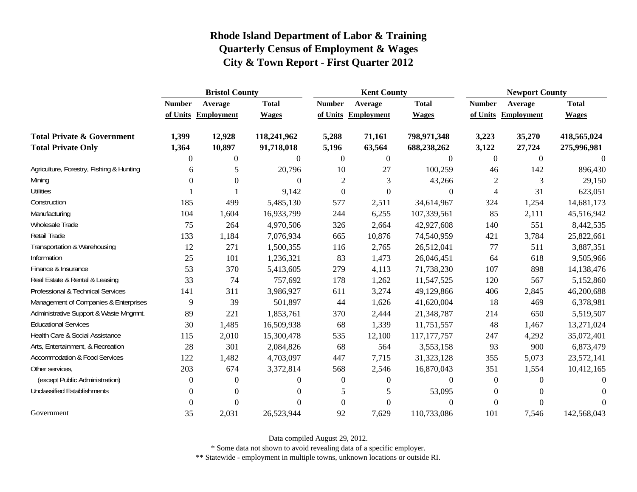|                                          | <b>Bristol County</b> |                     |              |                  | <b>Kent County</b>  |                  |                  | <b>Newport County</b> |              |  |
|------------------------------------------|-----------------------|---------------------|--------------|------------------|---------------------|------------------|------------------|-----------------------|--------------|--|
|                                          | <b>Number</b>         | Average             | <b>Total</b> | <b>Number</b>    | Average             | <b>Total</b>     | <b>Number</b>    | Average               | <b>Total</b> |  |
|                                          |                       | of Units Employment | <b>Wages</b> |                  | of Units Employment | <b>Wages</b>     |                  | of Units Employment   | <b>Wages</b> |  |
| <b>Total Private &amp; Government</b>    | 1,399                 | 12,928              | 118,241,962  | 5,288            | 71,161              | 798,971,348      | 3,223            | 35,270                | 418,565,024  |  |
| <b>Total Private Only</b>                | 1,364                 | 10,897              | 91,718,018   | 5,196            | 63,564              | 688,238,262      | 3,122            | 27,724                | 275,996,981  |  |
|                                          | $\Omega$              | $\overline{0}$      | $\Omega$     | $\overline{0}$   | $\boldsymbol{0}$    | $\Omega$         | $\overline{0}$   | $\theta$              | $\Omega$     |  |
| Agriculture, Forestry, Fishing & Hunting | 6                     | 5                   | 20,796       | 10               | 27                  | 100,259          | 46               | 142                   | 896,430      |  |
| Mining                                   | $^{(1)}$              | $\Omega$            | $\Omega$     | $\overline{c}$   | 3                   | 43,266           | $\mathfrak{2}$   | 3                     | 29,150       |  |
| <b>Utilities</b>                         |                       |                     | 9,142        | $\boldsymbol{0}$ | $\boldsymbol{0}$    | $\overline{0}$   | $\overline{4}$   | 31                    | 623,051      |  |
| Construction                             | 185                   | 499                 | 5,485,130    | 577              | 2,511               | 34,614,967       | 324              | 1,254                 | 14,681,173   |  |
| Manufacturing                            | 104                   | 1,604               | 16,933,799   | 244              | 6,255               | 107,339,561      | 85               | 2,111                 | 45,516,942   |  |
| Wholesale Trade                          | 75                    | 264                 | 4,970,506    | 326              | 2,664               | 42,927,608       | 140              | 551                   | 8,442,535    |  |
| Retail Trade                             | 133                   | 1,184               | 7,076,934    | 665              | 10,876              | 74,540,959       | 421              | 3,784                 | 25,822,661   |  |
| Transportation & Warehousing             | 12                    | 271                 | 1,500,355    | 116              | 2,765               | 26,512,041       | 77               | 511                   | 3,887,351    |  |
| Information                              | 25                    | 101                 | 1,236,321    | 83               | 1,473               | 26,046,451       | 64               | 618                   | 9,505,966    |  |
| Finance & Insurance                      | 53                    | 370                 | 5,413,605    | 279              | 4,113               | 71,738,230       | 107              | 898                   | 14,138,476   |  |
| Real Estate & Rental & Leasing           | 33                    | 74                  | 757,692      | 178              | 1,262               | 11,547,525       | 120              | 567                   | 5,152,860    |  |
| Professional & Technical Services        | 141                   | 311                 | 3,986,927    | 611              | 3,274               | 49,129,866       | 406              | 2,845                 | 46,200,688   |  |
| Management of Companies & Enterprises    | 9                     | 39                  | 501,897      | 44               | 1,626               | 41,620,004       | 18               | 469                   | 6,378,981    |  |
| Administrative Support & Waste Mngmnt.   | 89                    | 221                 | 1,853,761    | 370              | 2,444               | 21,348,787       | 214              | 650                   | 5,519,507    |  |
| <b>Educational Services</b>              | 30                    | 1,485               | 16,509,938   | 68               | 1,339               | 11,751,557       | 48               | 1,467                 | 13,271,024   |  |
| Health Care & Social Assistance          | 115                   | 2,010               | 15,300,478   | 535              | 12,100              | 117, 177, 757    | 247              | 4,292                 | 35,072,401   |  |
| Arts, Entertainment, & Recreation        | 28                    | 301                 | 2,084,826    | 68               | 564                 | 3,553,158        | 93               | 900                   | 6,873,479    |  |
| <b>Accommodation &amp; Food Services</b> | 122                   | 1,482               | 4,703,097    | 447              | 7,715               | 31,323,128       | 355              | 5,073                 | 23,572,141   |  |
| Other services,                          | 203                   | 674                 | 3,372,814    | 568              | 2,546               | 16,870,043       | 351              | 1,554                 | 10,412,165   |  |
| (except Public Administration)           | $\mathbf{0}$          | $\theta$            | 0            | $\overline{0}$   | $\mathbf{0}$        | $\boldsymbol{0}$ | $\boldsymbol{0}$ | 0                     | $\theta$     |  |
| <b>Unclassified Establishments</b>       | 0                     | $\theta$            | 0            | 5                | 5                   | 53,095           | $\boldsymbol{0}$ | $\Omega$              | $\left($     |  |
|                                          |                       | 0                   |              | $\boldsymbol{0}$ | $\boldsymbol{0}$    | $\boldsymbol{0}$ | $\boldsymbol{0}$ | $\overline{0}$        | $\Omega$     |  |
| Government                               | 35                    | 2,031               | 26,523,944   | 92               | 7,629               | 110,733,086      | 101              | 7,546                 | 142,568,043  |  |

Data compiled August 29, 2012.

\* Some data not shown to avoid revealing data of a specific employer.